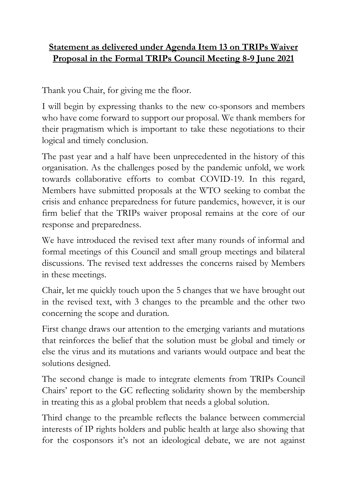## **Statement as delivered under Agenda Item 13 on TRIPs Waiver Proposal in the Formal TRIPs Council Meeting 8-9 June 2021**

Thank you Chair, for giving me the floor.

I will begin by expressing thanks to the new co-sponsors and members who have come forward to support our proposal. We thank members for their pragmatism which is important to take these negotiations to their logical and timely conclusion.

The past year and a half have been unprecedented in the history of this organisation. As the challenges posed by the pandemic unfold, we work towards collaborative efforts to combat COVID-19. In this regard, Members have submitted proposals at the WTO seeking to combat the crisis and enhance preparedness for future pandemics, however, it is our firm belief that the TRIPs waiver proposal remains at the core of our response and preparedness.

We have introduced the revised text after many rounds of informal and formal meetings of this Council and small group meetings and bilateral discussions. The revised text addresses the concerns raised by Members in these meetings.

Chair, let me quickly touch upon the 5 changes that we have brought out in the revised text, with 3 changes to the preamble and the other two concerning the scope and duration.

First change draws our attention to the emerging variants and mutations that reinforces the belief that the solution must be global and timely or else the virus and its mutations and variants would outpace and beat the solutions designed.

The second change is made to integrate elements from TRIPs Council Chairs' report to the GC reflecting solidarity shown by the membership in treating this as a global problem that needs a global solution.

Third change to the preamble reflects the balance between commercial interests of IP rights holders and public health at large also showing that for the cosponsors it's not an ideological debate, we are not against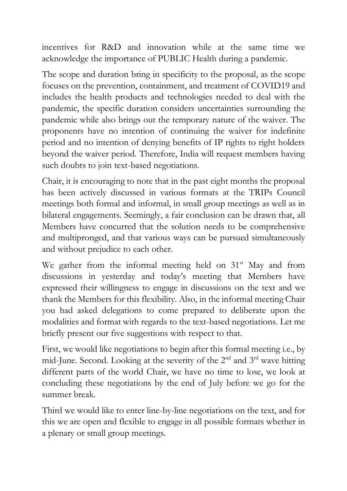incentives for R&D and innovation while at the same time we acknowledge the importance of PUBLIC Health during a pandemic.

The scope and duration bring in specificity to the proposal, as the scope focuses on the prevention, containment, and treatment of COVID19 and includes the health products and technologies needed to deal with the pandemic, the specific duration considers uncertainties surrounding the pandemic while also brings out the temporary nature of the waiver. The proponents have no intention of continuing the waiver for indefinite period and no intention of denying benefits of IP rights to right holders beyond the waiver period. Therefore, India will request members having such doubts to join text-based negotiations.

Chair, it is encouraging to note that in the past eight months the proposal has been actively discussed in various formats at the TRIPs Council meetings both formal and informal, in small group meetings as well as in bilateral engagements. Seemingly, a fair conclusion can be drawn that, all Members have concurred that the solution needs to be comprehensive and multipronged, and that various ways can be pursued simultaneously and without prejudice to each other.

We gather from the informal meeting held on  $31<sup>st</sup>$  May and from discussions in yesterday and today's meeting that Members have expressed their willingness to engage in discussions on the text and we thank the Members for this flexibility. Also, in the informal meeting Chair you had asked delegations to come prepared to deliberate upon the modalities and format with regards to the text-based negotiations. Let me briefly present our five suggestions with respect to that.

First, we would like negotiations to begin after this formal meeting i.e., by mid-June. Second. Looking at the severity of the  $2<sup>nd</sup>$  and  $3<sup>rd</sup>$  wave hitting different parts of the world Chair, we have no time to lose, we look at concluding these negotiations by the end of July before we go for the summer break.

Third we would like to enter line-by-line negotiations on the text, and for this we are open and flexible to engage in all possible formats whether in a plenary or small group meetings.